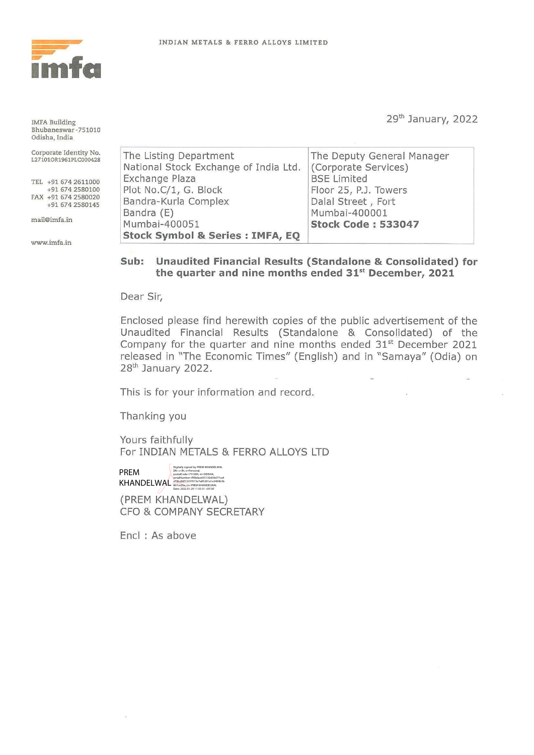

!MFA Building Bhubaneswar-751010 Odisha, India

Corporate Identity No. L271010R1961PLC000428

TEL +916742611000 +91 674 2580100 FAX +91 674 2580020 +91 674 2580145

m ail@imfa.in

www.imfa.in

29th January, 2022

| The Listing Department                      | The Deputy General Manager |
|---------------------------------------------|----------------------------|
| National Stock Exchange of India Ltd.       | (Corporate Services)       |
| Exchange Plaza                              | <b>BSE Limited</b>         |
| Plot No.C/1, G. Block                       | Floor 25, P.J. Towers      |
| Bandra-Kurla Complex                        | Dalal Street, Fort         |
| Bandra (E)                                  | Mumbai-400001              |
| Mumbai-400051                               | <b>Stock Code: 533047</b>  |
| <b>Stock Symbol &amp; Series : IMFA, EQ</b> |                            |

## **Sub: Unaudited Financial Results (Standalone & Consolidated) for the quarter and nine months ended 31st December, 2021**

Dear Sir,

Enclosed please find herewith copies of the public advertisement of the Unaudited Financial Results (Standalone & Consolidated) of the Company for the quarter and nine months ended 31<sup>st</sup> December 2021 released in "The Economic Times" (English) and in "Samaya" (Odia) on 28<sup>th</sup> January 2022.

This is for your information and record.

Thanking you

Yours faithfully For INDIAN METALS & FERRO ALLOYS LTD

PREM KHANDELWAL a73bc86f13237015e7a85201a1e2404b3b 867ce26a, cn=PREM KHANDELWAL Date: 2022.01.29 11:35:31 +05'30'Digitally signed by PREM KHANDELWAL<br>DN: c=IN, o=Personal,<br>postalCode=751009, st=ODISHA,<br>serialNumber=ff0b0ae655130d39d77ca4

(PREM KHANDELWAL) CFO & COMPANY SECRETARY

Encl : As above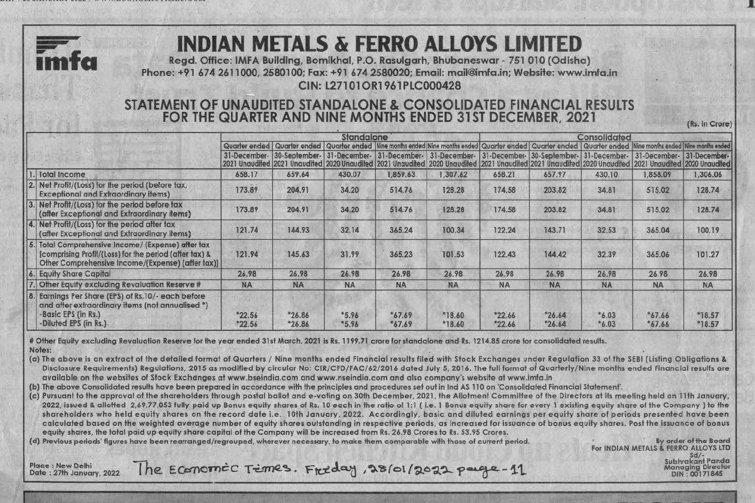

CIN: L27101OR1961PLC000428

## STATEMENT OF UNAUDITED STANDALONE & CONSOLIDATED FINANCIAL RESULTS FOR THE QUARTER AND NINE MONTHS ENDED 31ST DECEMBER, 2021 (Rs. in Crore)

|                                                                                                                                                                   | Standalone           |                   |                    |                      |                                                                                                                                                                                                                                                                         | Consolidated         |                      |                    |                           |                      |  |
|-------------------------------------------------------------------------------------------------------------------------------------------------------------------|----------------------|-------------------|--------------------|----------------------|-------------------------------------------------------------------------------------------------------------------------------------------------------------------------------------------------------------------------------------------------------------------------|----------------------|----------------------|--------------------|---------------------------|----------------------|--|
|                                                                                                                                                                   |                      |                   |                    |                      | Quarter ended   Quarter ended   Quarter ended   Nine months ended   Nine months ended   Quarter ended   Quarter ended   Quarter ended   Nine months ended   Nine months ended                                                                                           |                      |                      |                    |                           |                      |  |
|                                                                                                                                                                   |                      |                   |                    |                      | 31-December- 30-September- 31-December- 31-December- 31-December- 31-December- 30-September- 31-December-<br>2021 Unaudited 2021 Unaudited 2020 Unaudited 2021 Unaudited 2020 Unaudited 2021 Unaudited 2021 Unaudited 2020 Unaudited 2021 Unaudited 2021 Unaudited 2021 |                      |                      |                    | 31-December- 31-December- |                      |  |
| Total Income                                                                                                                                                      | 658.17               | 659.64            | 430.07             | 1,859.63             | 1.307.62                                                                                                                                                                                                                                                                | 658.21               | 657.97               | 430.10             | 1,858.09                  | 1,306.06             |  |
| 2. Net Profit/(Loss) for the period (before tax,<br><b>Exceptional and Extraordinary items)</b>                                                                   | 173.89               | 204.91            | 34.20              | 514.76               | 128.28                                                                                                                                                                                                                                                                  | 174.58               | 203.82               | 34.81              | 515.02                    | 128.74               |  |
| 3. Net Profit/(Loss) for the period before tax<br>(after Exceptional and Extraordinary items)                                                                     | 173.89               | 204.91            | 34.20              | 514.76               | 128.28                                                                                                                                                                                                                                                                  | 174.58               | 203.82               | 34.81              | 515.02                    | 128.74               |  |
| 4. Net Profit/(Loss) for the period after tax<br>(after Exceptional and Extraordinary items)                                                                      | 121.74               | 144.93            | 32.14              | 365.24               | 100.34                                                                                                                                                                                                                                                                  | 122.24               | 143.71               | 32.53              | 365,04                    | 100.19               |  |
| 5. Total Comprehensive Income/ (Expense) after tax<br>(comprising Profit/(Loss) for the period (after tax) &<br>Other Comprehensive Income/(Expense) (after tax)] | 121.94               | 145.63            | 31.99              | 365.23               | 101.53                                                                                                                                                                                                                                                                  | 122.43               | 144.42               | 32.39              | 365.06                    | 101.27               |  |
| 6. Equity Share Capital                                                                                                                                           | 26.98                | 26.98             | 26.98              | 26.98                | 26.98                                                                                                                                                                                                                                                                   | 26.98                | 26.98                | 26.98              | 26.98                     | 26.98                |  |
| . Other Equity excluding Revaluation Reserve #                                                                                                                    | <b>NA</b>            | <b>NA</b>         | <b>NA</b>          | <b>NA</b>            | NA                                                                                                                                                                                                                                                                      | <b>NA</b>            | <b>NA</b>            | <b>NA</b>          | <b>NA</b>                 | <b>NA</b>            |  |
| 8. Earnings Per Share (EPS) of Rs. 10/- each before<br>and after extraordinary items (not annualised *)<br>Basic EPS (in Rs.)<br>-Diluted EPS (in Rs.)            | $*22.56$<br>$*22.56$ | $*26.86$<br>26.86 | $*5.96$<br>$*5.96$ | $*67.69$<br>$*67.69$ | $*18.60$<br>*18.60                                                                                                                                                                                                                                                      | $*22.66$<br>$*22.66$ | $*26.64$<br>$*26.64$ | $*6.03$<br>$*6.03$ | 67.66<br>$*67.66$         | $*18.57$<br>$*18.57$ |  |

# Other Equity excluding Revaluation Reserve for the year ended 31st March, 2021 is Rs. 1199.71 crore for standalone and Rs. 1214.85 crore for consolidated results. Notes:

*m* 

(a} The above is an extract of the detailed format of Quarters / Nine months ended Financial results filed with Stock Exchanges under Regulation 33 of the SEBI (listing Obligations &. Disclosure Requirements) Regulations, 2015 as modified by circular No: CIR/CFD/FAC/62/2016 dated July 5, 2016. The full format of Quarterly/Nine months ended Financial results are available on the websites of Stock Exchdnges at www.bseindia.com and www.nseindia.com and also company's website at www.imfa.in

(b) The above Consolidated results hove been prepared in accordance with the principles and procedures set out in Ind AS 110 on 'Consolidated Financial Statement'.

(c) Pursuant to the approval of the shareholders through postal ballot and e-voting on 30th December, 2021, the Allotment Committee of the Directors at its meeting held on 1 lth January, 2022, issued & allotted 2,69,77,053 fully paid up Bonus equity shares of Rs. 10 each in the ratio of 1:1 (i.e. 1 Bonus equity share for every 1 existing equity share of the Company) to the shareholders who held equity shares on the record date i.e. 10th January, 2022. Accordingly, basic and diluted earnings per equity share of periods presented have been calculated based on the weighted average number of equity shares outstanding in respective periods, as increased for issuance of bonus equity shares. Post the issuance of bonus equity shares, the total paid up equity share capital of the Company will be increased from Rs. 26.98 Crores to Rs. 53.95 Crores.

(d) Previous periods' figures have been rearranged/regrouped, wherever necessary, to make them comparable with those of current period. By order of the Board

For INDIAN METALS & FERRO ALLOYS LTD Subhrakant Panda Managing Director<br>DIN: 00171845

Place : New Delhi Subhrakant Panda<br>Date : 27th January, 2022 The ECOTOMEC Times. Freeday, 28/01/2022 paregre-11 Subhrakant Panda Managing Director